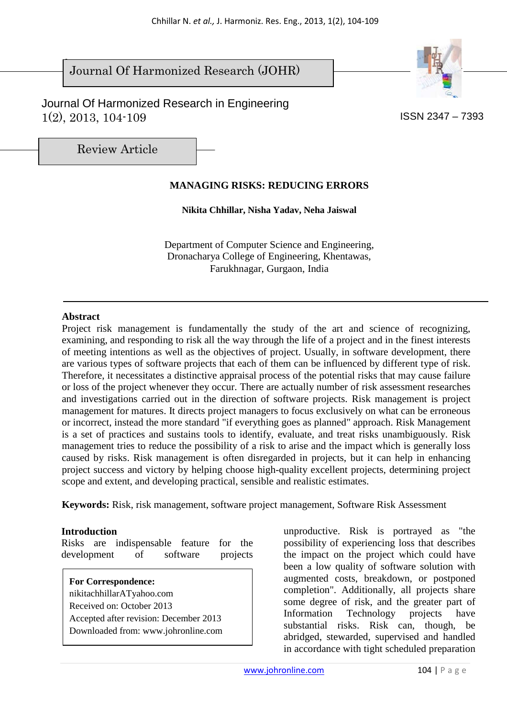$\overline{\phantom{a}}$ Journal Of Harmonized Research (JOHR)

 Journal Of Harmonized Research in Engineering  $1(2)$ ,  $2013$ ,  $104-109$  ISSN 2347 – 7393



Review Article

# **MANAGING RISKS: REDUCING ERRORS**

**Nikita Chhillar, Nisha Yadav, Neha Jaiswal** 

Department of Computer Science and Engineering, Dronacharya College of Engineering, Khentawas, Farukhnagar, Gurgaon, India

#### **Abstract**

Project risk management is fundamentally the study of the art and science of recognizing, examining, and responding to risk all the way through the life of a project and in the finest interests of meeting intentions as well as the objectives of project. Usually, in software development, there are various types of software projects that each of them can be influenced by different type of risk. Therefore, it necessitates a distinctive appraisal process of the potential risks that may cause failure or loss of the project whenever they occur. There are actually number of risk assessment researches and investigations carried out in the direction of software projects. Risk management is project management for matures. It directs project managers to focus exclusively on what can be erroneous or incorrect, instead the more standard "if everything goes as planned" approach. Risk Management is a set of practices and sustains tools to identify, evaluate, and treat risks unambiguously. Risk management tries to reduce the possibility of a risk to arise and the impact which is generally loss caused by risks. Risk management is often disregarded in projects, but it can help in enhancing project success and victory by helping choose high-quality excellent projects, determining project scope and extent, and developing practical, sensible and realistic estimates.

**Keywords:** Risk, risk management, software project management, Software Risk Assessment

#### **Introduction**

Risks are indispensable feature for the development of software projects

**For Correspondence:**  nikitachhillarATyahoo.com Received on: October 2013 Accepted after revision: December 2013 Downloaded from: www.johronline.com unproductive. Risk is portrayed as "the possibility of experiencing loss that describes the impact on the project which could have been a low quality of software solution with augmented costs, breakdown, or postponed completion". Additionally, all projects share some degree of risk, and the greater part of Information Technology projects have substantial risks. Risk can, though, be abridged, stewarded*,* supervised and handled in accordance with tight scheduled preparation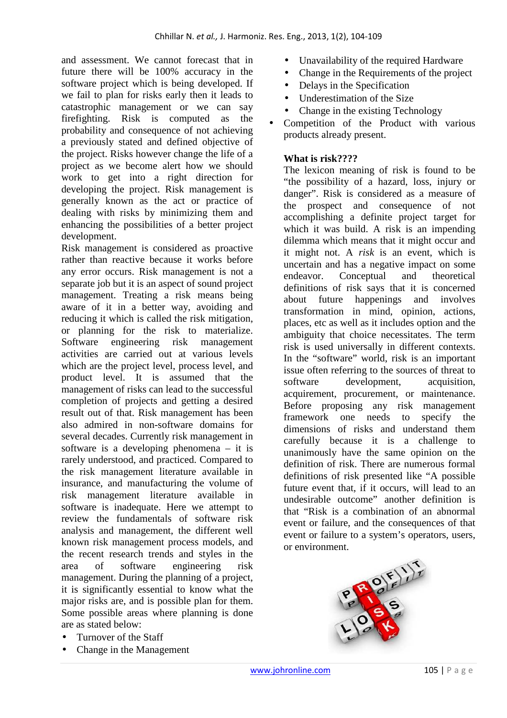and assessment. We cannot forecast that in future there will be 100% accuracy in the software project which is being developed. If we fail to plan for risks early then it leads to catastrophic management or we can say firefighting. Risk is computed as the probability and consequence of not achieving a previously stated and defined objective of the project. Risks however change the life of a project as we become alert how we should work to get into a right direction for developing the project. Risk management is generally known as the act or practice of dealing with risks by minimizing them and enhancing the possibilities of a better project development.

Risk management is considered as proactive rather than reactive because it works before any error occurs. Risk management is not a separate job but it is an aspect of sound project management. Treating a risk means being aware of it in a better way, avoiding and reducing it which is called the risk mitigation, or planning for the risk to materialize. Software engineering risk management activities are carried out at various levels which are the project level, process level, and product level. It is assumed that the management of risks can lead to the successful completion of projects and getting a desired result out of that. Risk management has been also admired in non-software domains for several decades. Currently risk management in software is a developing phenomena – it is rarely understood, and practiced. Compared to the risk management literature available in insurance, and manufacturing the volume of risk management literature available in software is inadequate. Here we attempt to review the fundamentals of software risk analysis and management, the different well known risk management process models, and the recent research trends and styles in the area of software engineering risk management. During the planning of a project, it is significantly essential to know what the major risks are, and is possible plan for them. Some possible areas where planning is done are as stated below:

- Turnover of the Staff
- Change in the Management
- Unavailability of the required Hardware
- Change in the Requirements of the project
- Delays in the Specification
- Underestimation of the Size
- Change in the existing Technology
- Competition of the Product with various products already present.

## **What is risk????**

The lexicon meaning of risk is found to be "the possibility of a hazard, loss, injury or danger". Risk is considered as a measure of the prospect and consequence of not accomplishing a definite project target for which it was build. A risk is an impending dilemma which means that it might occur and it might not. A *risk* is an event, which is uncertain and has a negative impact on some endeavor. Conceptual and theoretical definitions of risk says that it is concerned about future happenings and involves transformation in mind, opinion, actions, places, etc as well as it includes option and the ambiguity that choice necessitates. The term risk is used universally in different contexts. In the "software" world, risk is an important issue often referring to the sources of threat to software development, acquisition, acquirement, procurement, or maintenance. Before proposing any risk management framework one needs to specify the dimensions of risks and understand them carefully because it is a challenge to unanimously have the same opinion on the definition of risk. There are numerous formal definitions of risk presented like "A possible future event that, if it occurs, will lead to an undesirable outcome" another definition is that "Risk is a combination of an abnormal event or failure, and the consequences of that event or failure to a system's operators, users, or environment.

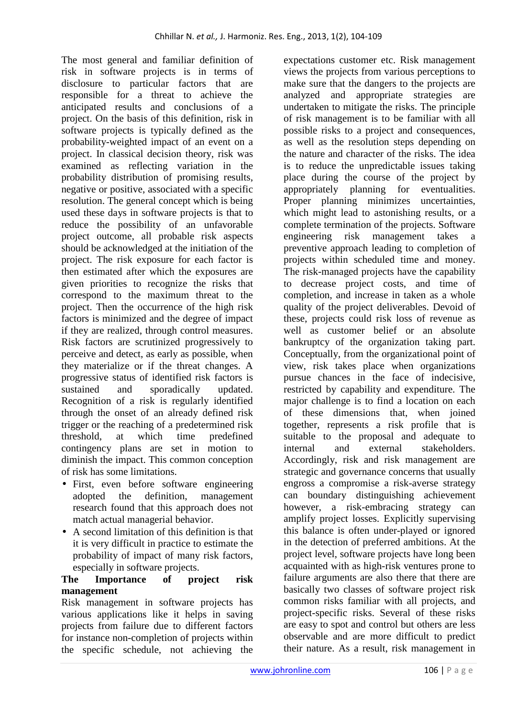The most general and familiar definition of risk in software projects is in terms of disclosure to particular factors that are responsible for a threat to achieve the anticipated results and conclusions of a project. On the basis of this definition, risk in software projects is typically defined as the probability-weighted impact of an event on a project. In classical decision theory, risk was examined as reflecting variation in the probability distribution of promising results, negative or positive, associated with a specific resolution. The general concept which is being used these days in software projects is that to reduce the possibility of an unfavorable project outcome, all probable risk aspects should be acknowledged at the initiation of the project. The risk exposure for each factor is then estimated after which the exposures are given priorities to recognize the risks that correspond to the maximum threat to the project. Then the occurrence of the high risk factors is minimized and the degree of impact if they are realized, through control measures. Risk factors are scrutinized progressively to perceive and detect, as early as possible, when they materialize or if the threat changes. A progressive status of identified risk factors is sustained and sporadically updated. Recognition of a risk is regularly identified through the onset of an already defined risk trigger or the reaching of a predetermined risk threshold, at which time predefined contingency plans are set in motion to diminish the impact. This common conception of risk has some limitations.

- First, even before software engineering adopted the definition, management research found that this approach does not match actual managerial behavior.
- A second limitation of this definition is that it is very difficult in practice to estimate the probability of impact of many risk factors, especially in software projects.

## **The Importance of project risk management**

Risk management in software projects has various applications like it helps in saving projects from failure due to different factors for instance non-completion of projects within the specific schedule, not achieving the

expectations customer etc. Risk management views the projects from various perceptions to make sure that the dangers to the projects are analyzed and appropriate strategies are undertaken to mitigate the risks. The principle of risk management is to be familiar with all possible risks to a project and consequences, as well as the resolution steps depending on the nature and character of the risks. The idea is to reduce the unpredictable issues taking place during the course of the project by appropriately planning for eventualities. Proper planning minimizes uncertainties, which might lead to astonishing results, or a complete termination of the projects. Software engineering risk management takes a preventive approach leading to completion of projects within scheduled time and money. The risk-managed projects have the capability to decrease project costs, and time of completion, and increase in taken as a whole quality of the project deliverables. Devoid of these, projects could risk loss of revenue as well as customer belief or an absolute bankruptcy of the organization taking part. Conceptually, from the organizational point of view, risk takes place when organizations pursue chances in the face of indecisive, restricted by capability and expenditure. The major challenge is to find a location on each of these dimensions that, when joined together, represents a risk profile that is suitable to the proposal and adequate to internal and external stakeholders. Accordingly, risk and risk management are strategic and governance concerns that usually engross a compromise a risk-averse strategy can boundary distinguishing achievement however, a risk-embracing strategy can amplify project losses. Explicitly supervising this balance is often under-played or ignored in the detection of preferred ambitions. At the project level, software projects have long been acquainted with as high-risk ventures prone to failure arguments are also there that there are basically two classes of software project risk common risks familiar with all projects, and project-specific risks. Several of these risks are easy to spot and control but others are less observable and are more difficult to predict their nature. As a result, risk management in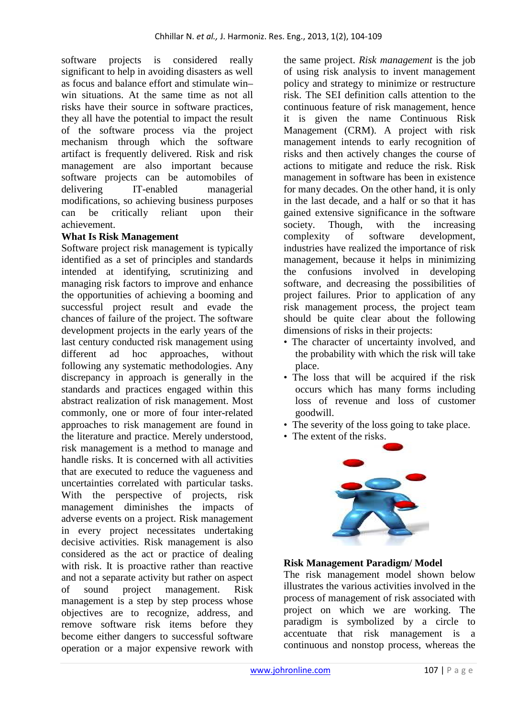software projects is considered really significant to help in avoiding disasters as well as focus and balance effort and stimulate win– win situations. At the same time as not all risks have their source in software practices, they all have the potential to impact the result of the software process via the project mechanism through which the software artifact is frequently delivered. Risk and risk management are also important because software projects can be automobiles of delivering IT-enabled managerial modifications, so achieving business purposes can be critically reliant upon their achievement.

### **What Is Risk Management**

Software project risk management is typically identified as a set of principles and standards intended at identifying, scrutinizing and managing risk factors to improve and enhance the opportunities of achieving a booming and successful project result and evade the chances of failure of the project. The software development projects in the early years of the last century conducted risk management using different ad hoc approaches, without following any systematic methodologies. Any discrepancy in approach is generally in the standards and practices engaged within this abstract realization of risk management. Most commonly, one or more of four inter-related approaches to risk management are found in the literature and practice. Merely understood, risk management is a method to manage and handle risks. It is concerned with all activities that are executed to reduce the vagueness and uncertainties correlated with particular tasks. With the perspective of projects, risk management diminishes the impacts of adverse events on a project. Risk management in every project necessitates undertaking decisive activities. Risk management is also considered as the act or practice of dealing with risk. It is proactive rather than reactive and not a separate activity but rather on aspect of sound project management. Risk management is a step by step process whose objectives are to recognize, address, and remove software risk items before they become either dangers to successful software operation or a major expensive rework with the same project. *Risk management* is the job of using risk analysis to invent management policy and strategy to minimize or restructure risk. The SEI definition calls attention to the continuous feature of risk management, hence it is given the name Continuous Risk Management (CRM). A project with risk management intends to early recognition of risks and then actively changes the course of actions to mitigate and reduce the risk. Risk management in software has been in existence for many decades. On the other hand, it is only in the last decade, and a half or so that it has gained extensive significance in the software society. Though, with the increasing complexity of software development, industries have realized the importance of risk management, because it helps in minimizing the confusions involved in developing software, and decreasing the possibilities of project failures. Prior to application of any risk management process, the project team should be quite clear about the following dimensions of risks in their projects:

- The character of uncertainty involved, and the probability with which the risk will take place.
- The loss that will be acquired if the risk occurs which has many forms including loss of revenue and loss of customer goodwill.
- The severity of the loss going to take place.
- The extent of the risks.



#### **Risk Management Paradigm/ Model**

The risk management model shown below illustrates the various activities involved in the process of management of risk associated with project on which we are working. The paradigm is symbolized by a circle to accentuate that risk management is a continuous and nonstop process, whereas the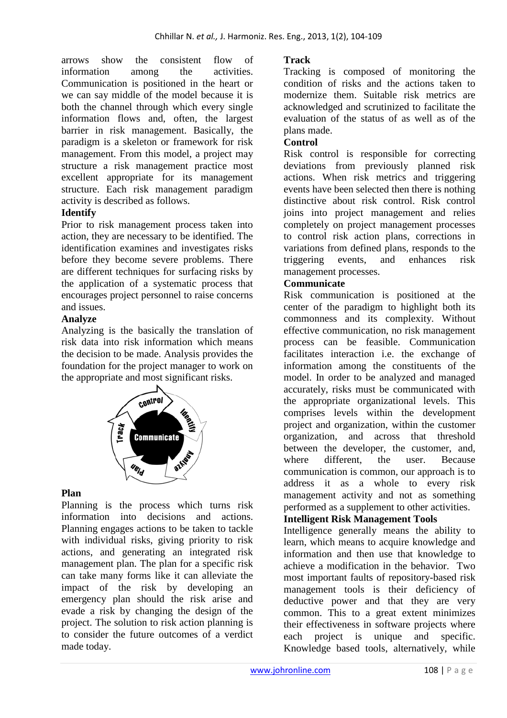arrows show the consistent flow of information among the activities. Communication is positioned in the heart or we can say middle of the model because it is both the channel through which every single information flows and, often, the largest barrier in risk management. Basically, the paradigm is a skeleton or framework for risk management. From this model, a project may structure a risk management practice most excellent appropriate for its management structure. Each risk management paradigm activity is described as follows.

## **Identify**

Prior to risk management process taken into action, they are necessary to be identified. The identification examines and investigates risks before they become severe problems. There are different techniques for surfacing risks by the application of a systematic process that encourages project personnel to raise concerns and issues.

#### **Analyze**

Analyzing is the basically the translation of risk data into risk information which means the decision to be made. Analysis provides the foundation for the project manager to work on the appropriate and most significant risks.



## **Plan**

Planning is the process which turns risk information into decisions and actions. Planning engages actions to be taken to tackle with individual risks, giving priority to risk actions, and generating an integrated risk management plan. The plan for a specific risk can take many forms like it can alleviate the impact of the risk by developing an emergency plan should the risk arise and evade a risk by changing the design of the project. The solution to risk action planning is to consider the future outcomes of a verdict made today.

### **Track**

Tracking is composed of monitoring the condition of risks and the actions taken to modernize them. Suitable risk metrics are acknowledged and scrutinized to facilitate the evaluation of the status of as well as of the plans made.

#### **Control**

Risk control is responsible for correcting deviations from previously planned risk actions. When risk metrics and triggering events have been selected then there is nothing distinctive about risk control. Risk control joins into project management and relies completely on project management processes to control risk action plans, corrections in variations from defined plans, responds to the triggering events, and enhances risk management processes.

#### **Communicate**

Risk communication is positioned at the center of the paradigm to highlight both its commonness and its complexity. Without effective communication, no risk management process can be feasible. Communication facilitates interaction i.e. the exchange of information among the constituents of the model. In order to be analyzed and managed accurately, risks must be communicated with the appropriate organizational levels. This comprises levels within the development project and organization, within the customer organization, and across that threshold between the developer, the customer, and, where different, the user. Because communication is common, our approach is to address it as a whole to every risk management activity and not as something performed as a supplement to other activities.

# **Intelligent Risk Management Tools**

Intelligence generally means the ability to learn, which means to acquire knowledge and information and then use that knowledge to achieve a modification in the behavior. Two most important faults of repository-based risk management tools is their deficiency of deductive power and that they are very common. This to a great extent minimizes their effectiveness in software projects where each project is unique and specific. Knowledge based tools, alternatively, while